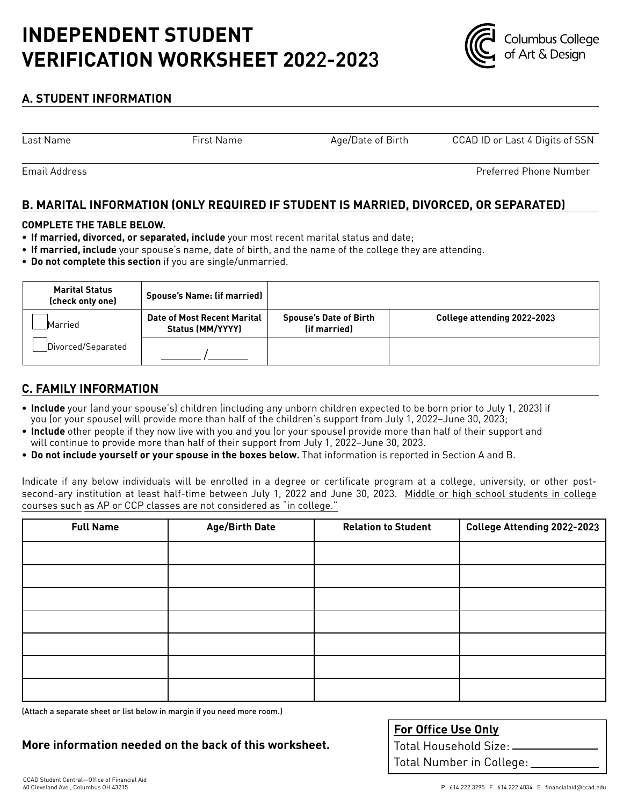# **INDEPENDENT STUDENT VERIFICATION WORKSHEET 202**2**-202**3



# **A. STUDENT INFORMATION**

Last Name

First Name Age/Date of Birth CCAD ID or Last 4 Digits of SSN

Email Address

Preferred Phone Number

# **B. MARITAL INFORMATION (ONLY REQUIRED IF STUDENT IS MARRIED, DIVORCED, OR SEPARATED)**

#### **COMPLETE THE TABLE BELOW.**

- **• If married, divorced, or separated, include** your most recent marital status and date;
- **• If married, include** your spouse's name, date of birth, and the name of the college they are attending.
- **• Do not complete this section** if you are single/unmarried.

| <b>Marital Status</b><br>(check only one) | <b>Spouse's Name: (if married)</b>                     |                                               |                             |
|-------------------------------------------|--------------------------------------------------------|-----------------------------------------------|-----------------------------|
| Married                                   | <b>Date of Most Recent Marital</b><br>Status (MM/YYYY) | <b>Spouse's Date of Birth</b><br>(if married) | College attending 2022-2023 |
| Divorced/Separated                        |                                                        |                                               |                             |

## **C. FAMILY INFORMATION**

- **Include** your (and your spouse's) children (including any unborn children expected to be born prior to July 1, 2023) if you (or your spouse) will provide more than half of the children's support from July 1, 2022–June 30, 2023;
- **Include** other people if they now live with you and you (or your spouse) provide more than half of their support and will continue to provide more than half of their support from July 1, 2022–June 30, 2023.
- **Do not include yourself or your spouse in the boxes below.** That information is reported in Section A and B.

Indicate if any below individuals will be enrolled in a degree or certificate program at a college, university, or other postsecond-ary institution at least half-time between July 1, 2022 and June 30, 2023. Middle or high school students in college courses such as AP or CCP classes are not considered as "in college."

| <b>Full Name</b> | <b>Age/Birth Date</b> | <b>Relation to Student</b> | College Attending 2022-2023 |
|------------------|-----------------------|----------------------------|-----------------------------|
|                  |                       |                            |                             |
|                  |                       |                            |                             |
|                  |                       |                            |                             |
|                  |                       |                            |                             |
|                  |                       |                            |                             |
|                  |                       |                            |                             |
|                  |                       |                            |                             |

(Attach a separate sheet or list below in margin if you need more room.)

**More information needed on the back of this worksheet.**

**For Office Use Only**

Total Household Size: Total Number in College: